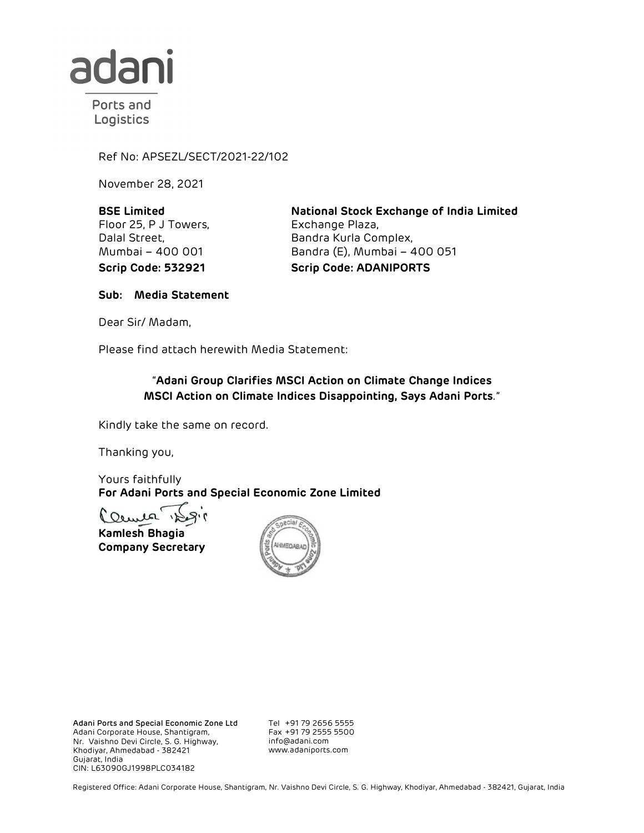

Ports and Logistics

Ref No: APSEZL/SECT/2021-22/102

November 28, 2021

BSE Limited Floor 25, P J Towers, Dalal Street, Mumbai – 400 001

National Stock Exchange of India Limited Exchange Plaza, Bandra Kurla Complex, Bandra (E), Mumbai – 400 051 Scrip Code: 532921 Scrip Code: ADANIPORTS

Sub: Media Statement

Dear Sir/ Madam,

## Please find attach herewith Media Statement: "Adani Group Clarifies MSCI Action on Climate Change Indices MSCI Action on Climate Indices Disappointing, Says Adani Ports."

Kindly take the same on record.

Thanking you,

Yours faithfully For Adani Ports and Special Economic Zone Limited

Kamlesh Bhagia Company Secretary



Adani Ports and Special Economic Zone Ltd Adani Corporate House, Shantigram, Nr. Vaishno Devi Circle, S. G. Highway, Khodiyar, Ahmedabad - 382421 Gujarat, India CIN: L63090GJ1998PLC034182

Tel +91 79 2656 5555 Fax +91 79 2555 5500 info@adani.com www.adaniports.com

Registered Office: Adani Corporate House, Shantigram, Nr. Vaishno Devi Circle, S. G. Highway, Khodiyar, Ahmedabad - 382421, Gujarat, India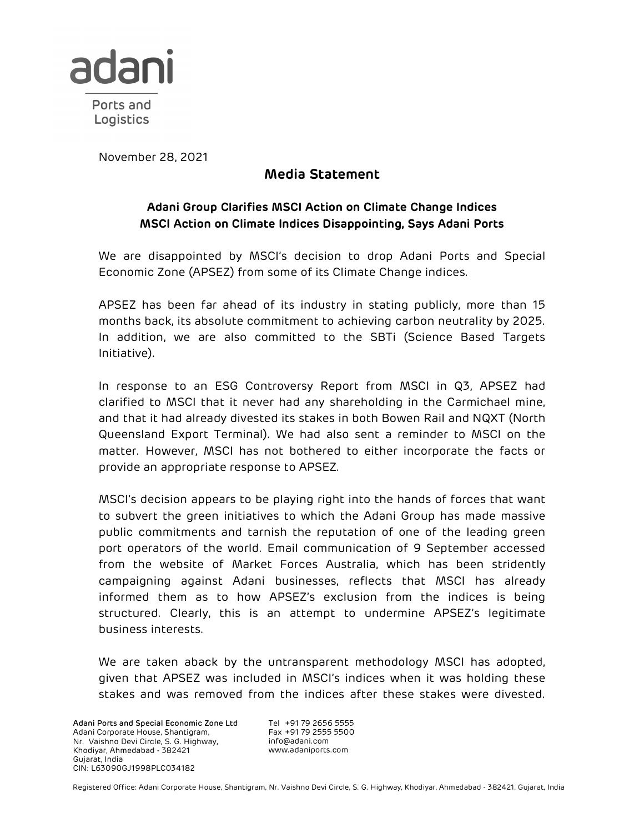

November 28, 2021

## Media Statement

## Adani Group Clarifies MSCI Action on Climate Change Indices MSCI Action on Climate Indices Disappointing, Says Adani Ports

We are disappointed by MSCI's decision to drop Adani Ports and Special Economic Zone (APSEZ) from some of its Climate Change indices.

APSEZ has been far ahead of its industry in stating publicly, more than 15 months back, its absolute commitment to achieving carbon neutrality by 2025. In addition, we are also committed to the SBTi (Science Based Targets Initiative).

In response to an ESG Controversy Report from MSCI in Q3, APSEZ had clarified to MSCI that it never had any shareholding in the Carmichael mine, and that it had already divested its stakes in both Bowen Rail and NQXT (North Queensland Export Terminal). We had also sent a reminder to MSCI on the matter. However, MSCI has not bothered to either incorporate the facts or provide an appropriate response to APSEZ.

MSCI's decision appears to be playing right into the hands of forces that want to subvert the green initiatives to which the Adani Group has made massive public commitments and tarnish the reputation of one of the leading green port operators of the world. Email communication of 9 September accessed from the website of Market Forces Australia, which has been stridently campaigning against Adani businesses, reflects that MSCI has already informed them as to how APSEZ's exclusion from the indices is being structured. Clearly, this is an attempt to undermine APSEZ's legitimate business interests.

We are taken aback by the untransparent methodology MSCI has adopted, given that APSEZ was included in MSCI's indices when it was holding these stakes and was removed from the indices after these stakes were divested.

Adani Ports and Special Economic Zone Ltd Adani Corporate House, Shantigram, Nr. Vaishno Devi Circle, S. G. Highway, Khodiyar, Ahmedabad - 382421 Gujarat, India CIN: L63090GJ1998PLC034182

Tel +91 79 2656 5555 Fax +91 79 2555 5500 info@adani.com www.adaniports.com

Registered Office: Adani Corporate House, Shantigram, Nr. Vaishno Devi Circle, S. G. Highway, Khodiyar, Ahmedabad - 382421, Gujarat, India